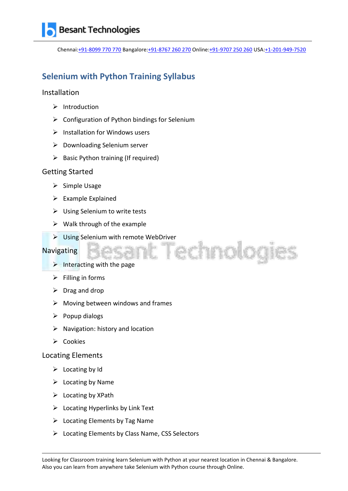Chennai[:+91-8099 770 770](tel:+91-8099770770) Bangalore[:+91-8767 260 270](tel:+91-8767260270) Online[:+91-9707 250 260](tel:+91-9707250260) USA[:+1-201-949-7520](tel:+1-201-949-7520) 

# **Selenium with Python Training Syllabus**

## Installation

- $\triangleright$  Introduction
- $\triangleright$  Configuration of Python bindings for Selenium
- $\triangleright$  Installation for Windows users
- $\triangleright$  Downloading Selenium server
- $\triangleright$  Basic Python training (If required)

#### Getting Started

- $\triangleright$  Simple Usage
- $\triangleright$  Example Explained
- $\triangleright$  Using Selenium to write tests
- $\triangleright$  Walk through of the example
- Using Selenium with remote WebDriver

### Navigating

- $\blacktriangleright$  Interacting with the page
- $\triangleright$  Filling in forms
- $\triangleright$  Drag and drop
- $\triangleright$  Moving between windows and frames
- $\triangleright$  Popup dialogs
- $\triangleright$  Navigation: history and location
- $\triangleright$  Cookies

### Locating Elements

- $\triangleright$  Locating by Id
- $\triangleright$  Locating by Name
- $\triangleright$  Locating by XPath
- $\triangleright$  Locating Hyperlinks by Link Text
- $\triangleright$  Locating Elements by Tag Name
- $\triangleright$  Locating Elements by Class Name, CSS Selectors